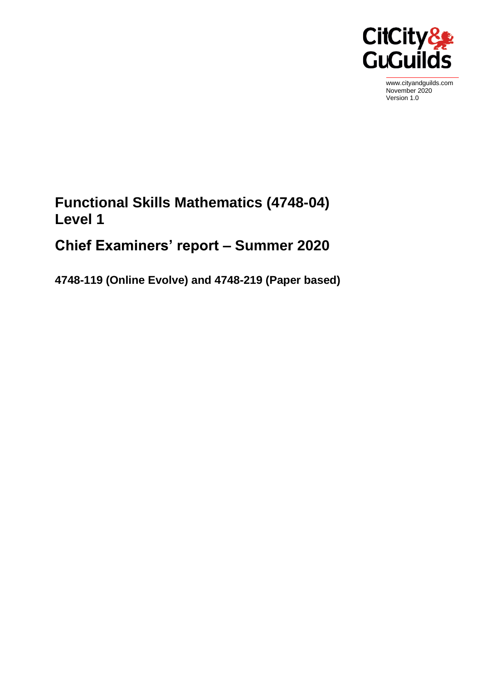

www.cityandguilds.com November 2020 Version 1.0

# **Functional Skills Mathematics (4748-04) Level 1**

# **Chief Examiners' report – Summer 2020**

**4748-119 (Online Evolve) and 4748-219 (Paper based)**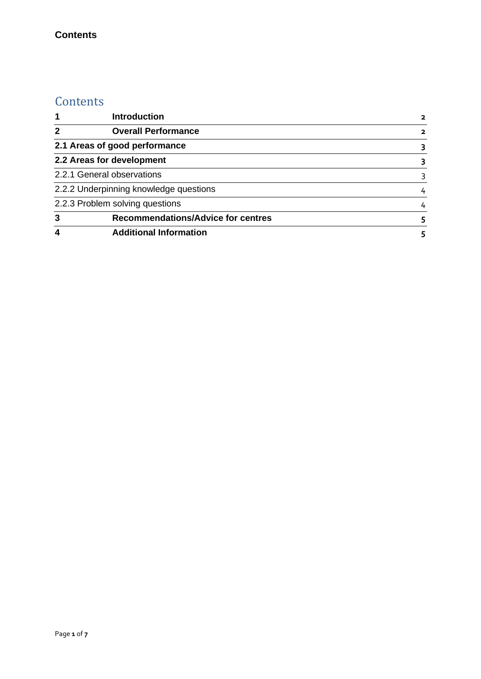#### **Contents**

## **Contents**

|                                        | <b>Introduction</b>                       |              |
|----------------------------------------|-------------------------------------------|--------------|
| $\mathbf{2}$                           | <b>Overall Performance</b>                | $\mathbf{z}$ |
| 2.1 Areas of good performance          |                                           |              |
| 2.2 Areas for development              |                                           |              |
| 2.2.1 General observations             |                                           |              |
| 2.2.2 Underpinning knowledge questions |                                           | 4            |
| 2.2.3 Problem solving questions        |                                           | 4            |
| 3                                      | <b>Recommendations/Advice for centres</b> |              |
| 4                                      | <b>Additional Information</b>             |              |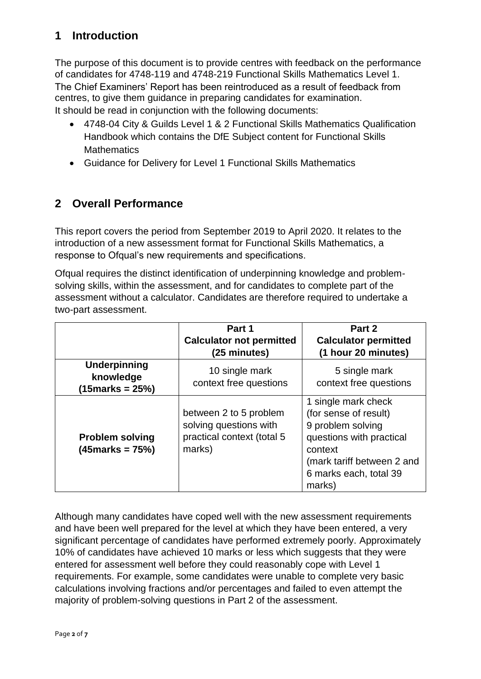## <span id="page-2-0"></span>**1 Introduction**

The purpose of this document is to provide centres with feedback on the performance of candidates for 4748-119 and 4748-219 Functional Skills Mathematics Level 1. The Chief Examiners' Report has been reintroduced as a result of feedback from centres, to give them guidance in preparing candidates for examination. It should be read in conjunction with the following documents:

- 4748-04 City & Guilds Level 1 & 2 Functional Skills Mathematics Qualification Handbook which contains the DfE Subject content for Functional Skills **Mathematics**
- Guidance for Delivery for Level 1 Functional Skills Mathematics

## <span id="page-2-1"></span>**2 Overall Performance**

This report covers the period from September 2019 to April 2020. It relates to the introduction of a new assessment format for Functional Skills Mathematics, a response to Ofqual's new requirements and specifications.

Ofqual requires the distinct identification of underpinning knowledge and problemsolving skills, within the assessment, and for candidates to complete part of the assessment without a calculator. Candidates are therefore required to undertake a two-part assessment.

|                                                     | Part 1                                                                                   | Part 2                                                                                                                                                                     |
|-----------------------------------------------------|------------------------------------------------------------------------------------------|----------------------------------------------------------------------------------------------------------------------------------------------------------------------------|
|                                                     | <b>Calculator not permitted</b>                                                          | <b>Calculator permitted</b>                                                                                                                                                |
|                                                     | (25 minutes)                                                                             | (1 hour 20 minutes)                                                                                                                                                        |
| <b>Underpinning</b><br>knowledge<br>(15marks = 25%) | 10 single mark<br>context free questions                                                 | 5 single mark<br>context free questions                                                                                                                                    |
| <b>Problem solving</b><br>$(45$ marks = 75%)        | between 2 to 5 problem<br>solving questions with<br>practical context (total 5<br>marks) | 1 single mark check<br>(for sense of result)<br>9 problem solving<br>questions with practical<br>context<br>(mark tariff between 2 and<br>6 marks each, total 39<br>marks) |

Although many candidates have coped well with the new assessment requirements and have been well prepared for the level at which they have been entered, a very significant percentage of candidates have performed extremely poorly. Approximately 10% of candidates have achieved 10 marks or less which suggests that they were entered for assessment well before they could reasonably cope with Level 1 requirements. For example, some candidates were unable to complete very basic calculations involving fractions and/or percentages and failed to even attempt the majority of problem-solving questions in Part 2 of the assessment.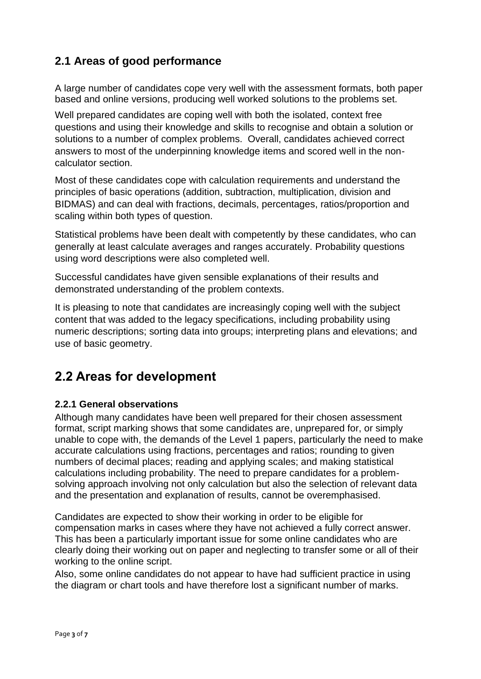## <span id="page-3-0"></span>**2.1 Areas of good performance**

A large number of candidates cope very well with the assessment formats, both paper based and online versions, producing well worked solutions to the problems set.

Well prepared candidates are coping well with both the isolated, context free questions and using their knowledge and skills to recognise and obtain a solution or solutions to a number of complex problems. Overall, candidates achieved correct answers to most of the underpinning knowledge items and scored well in the noncalculator section.

Most of these candidates cope with calculation requirements and understand the principles of basic operations (addition, subtraction, multiplication, division and BIDMAS) and can deal with fractions, decimals, percentages, ratios/proportion and scaling within both types of question.

Statistical problems have been dealt with competently by these candidates, who can generally at least calculate averages and ranges accurately. Probability questions using word descriptions were also completed well.

Successful candidates have given sensible explanations of their results and demonstrated understanding of the problem contexts.

It is pleasing to note that candidates are increasingly coping well with the subject content that was added to the legacy specifications, including probability using numeric descriptions; sorting data into groups; interpreting plans and elevations; and use of basic geometry.

## <span id="page-3-1"></span>**2.2 Areas for development**

#### <span id="page-3-2"></span>**2.2.1 General observations**

Although many candidates have been well prepared for their chosen assessment format, script marking shows that some candidates are, unprepared for, or simply unable to cope with, the demands of the Level 1 papers, particularly the need to make accurate calculations using fractions, percentages and ratios; rounding to given numbers of decimal places; reading and applying scales; and making statistical calculations including probability. The need to prepare candidates for a problemsolving approach involving not only calculation but also the selection of relevant data and the presentation and explanation of results, cannot be overemphasised.

Candidates are expected to show their working in order to be eligible for compensation marks in cases where they have not achieved a fully correct answer. This has been a particularly important issue for some online candidates who are clearly doing their working out on paper and neglecting to transfer some or all of their working to the online script.

Also, some online candidates do not appear to have had sufficient practice in using the diagram or chart tools and have therefore lost a significant number of marks.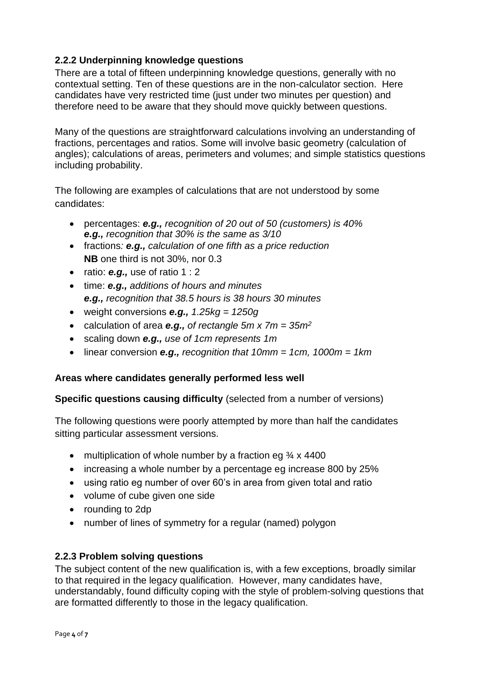#### <span id="page-4-0"></span>**2.2.2 Underpinning knowledge questions**

There are a total of fifteen underpinning knowledge questions, generally with no contextual setting. Ten of these questions are in the non-calculator section. Here candidates have very restricted time (just under two minutes per question) and therefore need to be aware that they should move quickly between questions.

Many of the questions are straightforward calculations involving an understanding of fractions, percentages and ratios. Some will involve basic geometry (calculation of angles); calculations of areas, perimeters and volumes; and simple statistics questions including probability.

The following are examples of calculations that are not understood by some candidates:

- percentages: *e.g., recognition of 20 out of 50 (customers) is 40% e.g., recognition that 30% is the same as 3/10*
- fractions*: e.g., calculation of one fifth as a price reduction* **NB** one third is not 30%, nor 0.3
- ratio:  $e.g.,$  use of ratio  $1:2$
- time: *e.g., additions of hours and minutes e.g., recognition that 38.5 hours is 38 hours 30 minutes*
- weight conversions *e.g., 1.25kg = 1250g*
- calculation of area *e.g., of rectangle 5m x 7m = 35m<sup>2</sup>*
- scaling down *e.g., use of 1cm represents 1m*
- linear conversion *e.g., recognition that 10mm = 1cm, 1000m = 1km*

#### **Areas where candidates generally performed less well**

#### **Specific questions causing difficulty** (selected from a number of versions)

The following questions were poorly attempted by more than half the candidates sitting particular assessment versions.

- multiplication of whole number by a fraction eg  $\frac{3}{4}$  x 4400
- increasing a whole number by a percentage eg increase 800 by 25%
- using ratio eg number of over 60's in area from given total and ratio
- volume of cube given one side
- rounding to 2dp
- number of lines of symmetry for a regular (named) polygon

#### <span id="page-4-1"></span>**2.2.3 Problem solving questions**

The subject content of the new qualification is, with a few exceptions, broadly similar to that required in the legacy qualification. However, many candidates have, understandably, found difficulty coping with the style of problem-solving questions that are formatted differently to those in the legacy qualification.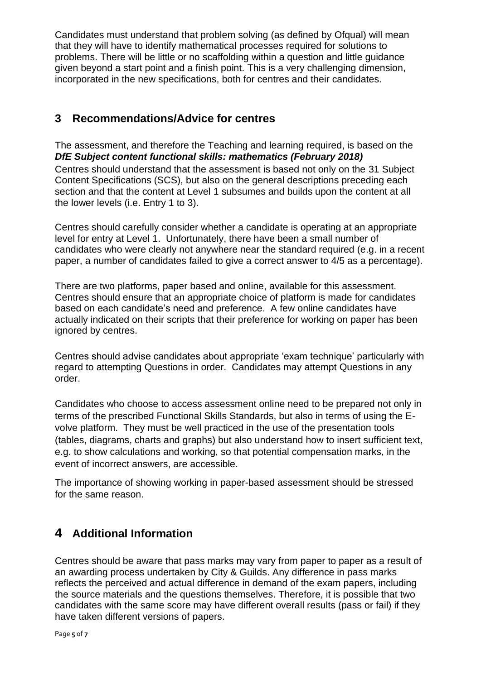Candidates must understand that problem solving (as defined by Ofqual) will mean that they will have to identify mathematical processes required for solutions to problems. There will be little or no scaffolding within a question and little guidance given beyond a start point and a finish point. This is a very challenging dimension, incorporated in the new specifications, both for centres and their candidates.

### <span id="page-5-0"></span>**3 Recommendations/Advice for centres**

The assessment, and therefore the Teaching and learning required, is based on the *DfE Subject content functional skills: mathematics (February 2018)*

Centres should understand that the assessment is based not only on the 31 Subject Content Specifications (SCS), but also on the general descriptions preceding each section and that the content at Level 1 subsumes and builds upon the content at all the lower levels (i.e. Entry 1 to 3).

Centres should carefully consider whether a candidate is operating at an appropriate level for entry at Level 1. Unfortunately, there have been a small number of candidates who were clearly not anywhere near the standard required (e.g. in a recent paper, a number of candidates failed to give a correct answer to 4/5 as a percentage).

There are two platforms, paper based and online, available for this assessment. Centres should ensure that an appropriate choice of platform is made for candidates based on each candidate's need and preference. A few online candidates have actually indicated on their scripts that their preference for working on paper has been ignored by centres.

Centres should advise candidates about appropriate 'exam technique' particularly with regard to attempting Questions in order. Candidates may attempt Questions in any order.

Candidates who choose to access assessment online need to be prepared not only in terms of the prescribed Functional Skills Standards, but also in terms of using the Evolve platform. They must be well practiced in the use of the presentation tools (tables, diagrams, charts and graphs) but also understand how to insert sufficient text, e.g. to show calculations and working, so that potential compensation marks, in the event of incorrect answers, are accessible.

The importance of showing working in paper-based assessment should be stressed for the same reason.

## <span id="page-5-1"></span>**4 Additional Information**

Centres should be aware that pass marks may vary from paper to paper as a result of an awarding process undertaken by City & Guilds. Any difference in pass marks reflects the perceived and actual difference in demand of the exam papers, including the source materials and the questions themselves. Therefore, it is possible that two candidates with the same score may have different overall results (pass or fail) if they have taken different versions of papers.